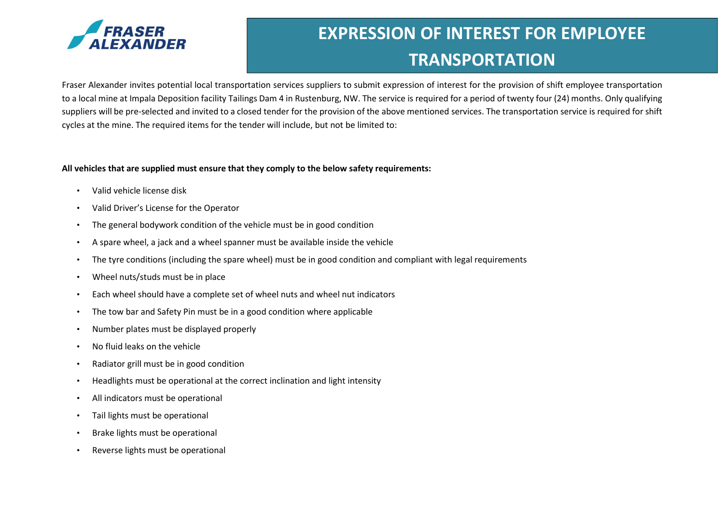

# EXPRESSION OF INTEREST FOR EMPLOYEE **TRANSPORTATION**

Fraser Alexander invites potential local transportation services suppliers to submit expression of interest for the provision of shift employee transportation to a local mine at Impala Deposition facility Tailings Dam 4 in Rustenburg, NW. The service is required for a period of twenty four (24) months. Only qualifying suppliers will be pre-selected and invited to a closed tender for the provision of the above mentioned services. The transportation service is required for shift cycles at the mine. The required items for the tender will include, but not be limited to:

#### All vehicles that are supplied must ensure that they comply to the below safety requirements:

- Valid vehicle license disk
- Valid Driver's License for the Operator
- The general bodywork condition of the vehicle must be in good condition
- A spare wheel, a jack and a wheel spanner must be available inside the vehicle
- The tyre conditions (including the spare wheel) must be in good condition and compliant with legal requirements
- Wheel nuts/studs must be in place
- Each wheel should have a complete set of wheel nuts and wheel nut indicators
- The tow bar and Safety Pin must be in a good condition where applicable
- Number plates must be displayed properly
- No fluid leaks on the vehicle
- Radiator grill must be in good condition
- Headlights must be operational at the correct inclination and light intensity
- All indicators must be operational
- Tail lights must be operational
- Brake lights must be operational
- Reverse lights must be operational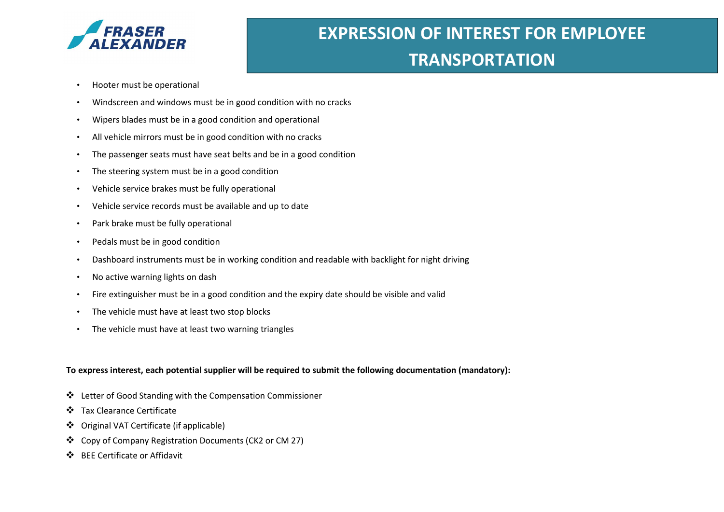

## EXPRESSION OF INTEREST FOR EMPLOYEE **TRANSPORTATION**

- Hooter must be operational
- Windscreen and windows must be in good condition with no cracks
- Wipers blades must be in a good condition and operational
- All vehicle mirrors must be in good condition with no cracks
- The passenger seats must have seat belts and be in a good condition
- The steering system must be in a good condition
- Vehicle service brakes must be fully operational
- Vehicle service records must be available and up to date
- Park brake must be fully operational
- Pedals must be in good condition
- Dashboard instruments must be in working condition and readable with backlight for night driving
- No active warning lights on dash
- Fire extinguisher must be in a good condition and the expiry date should be visible and valid
- The vehicle must have at least two stop blocks
- The vehicle must have at least two warning triangles

#### To express interest, each potential supplier will be required to submit the following documentation (mandatory):

- Letter of Good Standing with the Compensation Commissioner
- Tax Clearance Certificate
- Original VAT Certificate (if applicable)
- Copy of Company Registration Documents (CK2 or CM 27)
- BEE Certificate or Affidavit